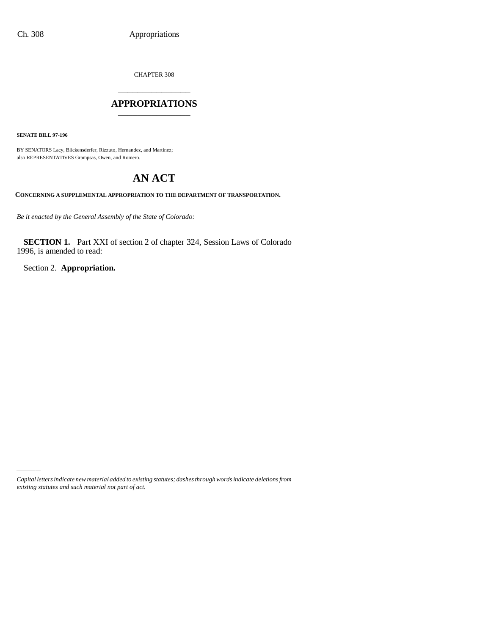CHAPTER 308

## \_\_\_\_\_\_\_\_\_\_\_\_\_\_\_ **APPROPRIATIONS** \_\_\_\_\_\_\_\_\_\_\_\_\_\_\_

**SENATE BILL 97-196**

BY SENATORS Lacy, Blickensderfer, Rizzuto, Hernandez, and Martinez; also REPRESENTATIVES Grampsas, Owen, and Romero.

# **AN ACT**

**CONCERNING A SUPPLEMENTAL APPROPRIATION TO THE DEPARTMENT OF TRANSPORTATION.**

*Be it enacted by the General Assembly of the State of Colorado:*

**SECTION 1.** Part XXI of section 2 of chapter 324, Session Laws of Colorado 1996, is amended to read:

Section 2. **Appropriation.**

*Capital letters indicate new material added to existing statutes; dashes through words indicate deletions from existing statutes and such material not part of act.*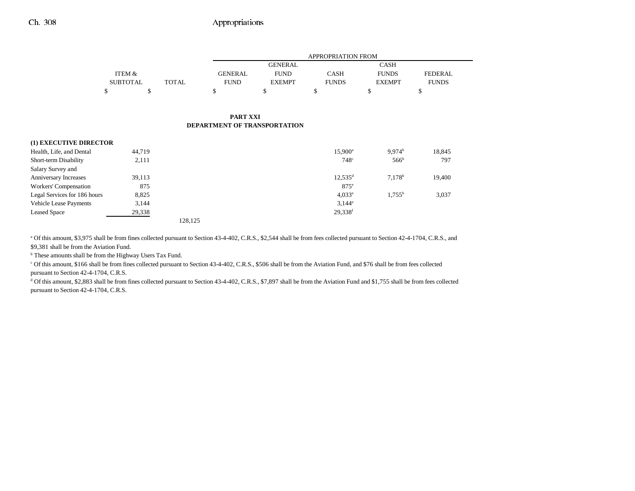|                 |              |                | <b>APPROPRIATION FROM</b> |              |               |                |  |
|-----------------|--------------|----------------|---------------------------|--------------|---------------|----------------|--|
|                 |              |                | GENERAL                   |              | <b>CASH</b>   |                |  |
| ITEM &          |              | <b>GENERAL</b> | <b>FUND</b>               | CASH         | <b>FUNDS</b>  | <b>FEDERAL</b> |  |
| <b>SUBTOTAL</b> | <b>TOTAL</b> | <b>FUND</b>    | <b>EXEMPT</b>             | <b>FUNDS</b> | <b>EXEMPT</b> | <b>FUNDS</b>   |  |
|                 |              |                |                           |              |               |                |  |

### **PART XXI DEPARTMENT OF TRANSPORTATION**

| (1) EXECUTIVE DIRECTOR        |        |         |                  |                    |        |
|-------------------------------|--------|---------|------------------|--------------------|--------|
| Health, Life, and Dental      | 44,719 |         | $15.900^{\rm a}$ | 9.974 <sup>b</sup> | 18,845 |
| Short-term Disability         | 2,111  |         | 748 <sup>c</sup> | 566 <sup>b</sup>   | 797    |
| Salary Survey and             |        |         |                  |                    |        |
| Anniversary Increases         | 39,113 |         | $12.535^d$       | 7.178 <sup>b</sup> | 19,400 |
| Workers' Compensation         | 875    |         | $875^\circ$      |                    |        |
| Legal Services for 186 hours  | 8,825  |         | 4.033e           | $1.755^{\rm b}$    | 3,037  |
| <b>Vehicle Lease Payments</b> | 3,144  |         | $3,144^e$        |                    |        |
| <b>Leased Space</b>           | 29,338 |         | 29,338f          |                    |        |
|                               |        | 128.125 |                  |                    |        |

a Of this amount, \$3,975 shall be from fines collected pursuant to Section 43-4-402, C.R.S., \$2,544 shall be from fees collected pursuant to Section 42-4-1704, C.R.S., and \$9,381 shall be from the Aviation Fund.

**b** These amounts shall be from the Highway Users Tax Fund.

c Of this amount, \$166 shall be from fines collected pursuant to Section 43-4-402, C.R.S., \$506 shall be from the Aviation Fund, and \$76 shall be from fees collected

pursuant to Section 42-4-1704, C.R.S.

d Of this amount, \$2,883 shall be from fines collected pursuant to Section 43-4-402, C.R.S., \$7,897 shall be from the Aviation Fund and \$1,755 shall be from fees collected pursuant to Section 42-4-1704, C.R.S.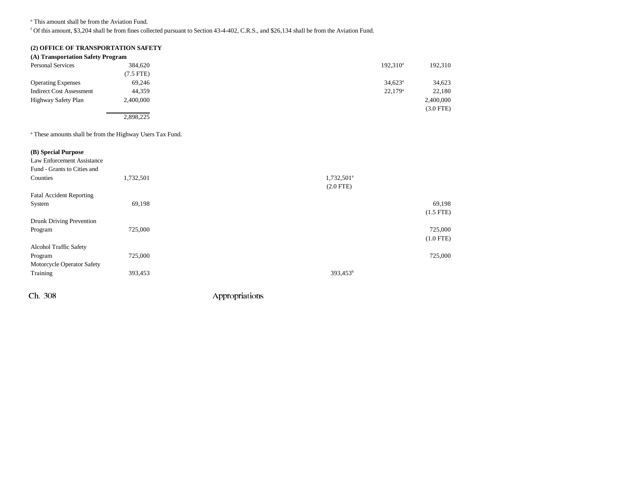e This amount shall be from the Aviation Fund.

f Of this amount, \$3,204 shall be from fines collected pursuant to Section 43-4-402, C.R.S., and \$26,134 shall be from the Aviation Fund.

## **(2) OFFICE OF TRANSPORTATION SAFETY**

| (A) Transportation Safety Program |                |                  |             |
|-----------------------------------|----------------|------------------|-------------|
| <b>Personal Services</b>          | 384,620        | $192.310^a$      | 192,310     |
|                                   | $(7.5$ FTE $)$ |                  |             |
| <b>Operating Expenses</b>         | 69.246         | $34,623^{\circ}$ | 34,623      |
| <b>Indirect Cost Assessment</b>   | 44.359         | $22,179^{\circ}$ | 22,180      |
| Highway Safety Plan               | 2.400.000      |                  | 2,400,000   |
|                                   |                |                  | $(3.0$ FTE) |
|                                   | 2,898,225      |                  |             |

a These amounts shall be from the Highway Users Tax Fund.

| (B) Special Purpose<br>Law Enforcement Assistance<br>Fund - Grants to Cities and |           |                        |             |
|----------------------------------------------------------------------------------|-----------|------------------------|-------------|
| Counties                                                                         | 1,732,501 | 1,732,501 <sup>a</sup> |             |
|                                                                                  |           | $(2.0$ FTE)            |             |
| <b>Fatal Accident Reporting</b>                                                  |           |                        |             |
| System                                                                           | 69,198    |                        | 69,198      |
|                                                                                  |           |                        | $(1.5$ FTE) |
| Drunk Driving Prevention                                                         |           |                        |             |
| Program                                                                          | 725,000   |                        | 725,000     |
|                                                                                  |           |                        | $(1.0$ FTE) |
| Alcohol Traffic Safety                                                           |           |                        |             |
| Program                                                                          | 725,000   |                        | 725,000     |
| Motorcycle Operator Safety                                                       |           |                        |             |
| Training                                                                         | 393,453   | 393,453 <sup>b</sup>   |             |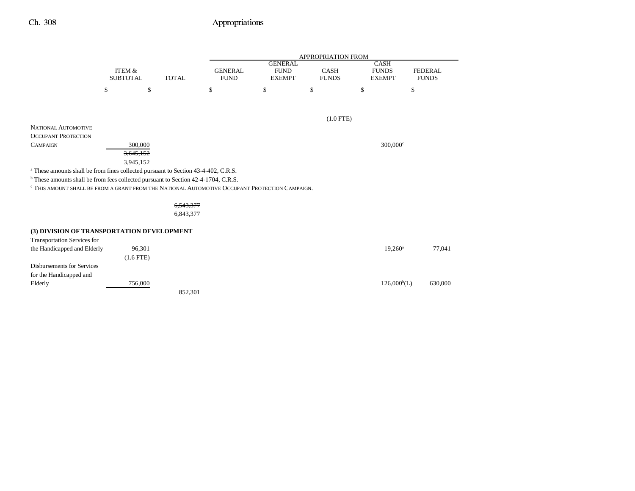|                                                                                                           |                                      |             |              | <b>APPROPRIATION FROM</b>     |                                                |                      |                                              |                                |  |
|-----------------------------------------------------------------------------------------------------------|--------------------------------------|-------------|--------------|-------------------------------|------------------------------------------------|----------------------|----------------------------------------------|--------------------------------|--|
|                                                                                                           | <b>ITEM &amp;</b><br><b>SUBTOTAL</b> |             | <b>TOTAL</b> | <b>GENERAL</b><br><b>FUND</b> | <b>GENERAL</b><br><b>FUND</b><br><b>EXEMPT</b> | CASH<br><b>FUNDS</b> | <b>CASH</b><br><b>FUNDS</b><br><b>EXEMPT</b> | <b>FEDERAL</b><br><b>FUNDS</b> |  |
|                                                                                                           | \$                                   | \$          |              | \$                            | \$                                             | \$                   | \$                                           | \$                             |  |
|                                                                                                           |                                      |             |              |                               |                                                |                      |                                              |                                |  |
|                                                                                                           |                                      |             |              |                               |                                                | $(1.0$ FTE)          |                                              |                                |  |
| <b>NATIONAL AUTOMOTIVE</b>                                                                                |                                      |             |              |                               |                                                |                      |                                              |                                |  |
| <b>OCCUPANT PROTECTION</b>                                                                                |                                      |             |              |                               |                                                |                      |                                              |                                |  |
| <b>CAMPAIGN</b>                                                                                           |                                      | 300,000     |              |                               |                                                |                      | $300,000$ °                                  |                                |  |
|                                                                                                           |                                      | 3,645,152   |              |                               |                                                |                      |                                              |                                |  |
|                                                                                                           |                                      | 3,945,152   |              |                               |                                                |                      |                                              |                                |  |
| <sup>a</sup> These amounts shall be from fines collected pursuant to Section 43-4-402, C.R.S.             |                                      |             |              |                               |                                                |                      |                                              |                                |  |
| <sup>b</sup> These amounts shall be from fees collected pursuant to Section 42-4-1704, C.R.S.             |                                      |             |              |                               |                                                |                      |                                              |                                |  |
| <sup>c</sup> THIS AMOUNT SHALL BE FROM A GRANT FROM THE NATIONAL AUTOMOTIVE OCCUPANT PROTECTION CAMPAIGN. |                                      |             |              |                               |                                                |                      |                                              |                                |  |
|                                                                                                           |                                      |             | 6,543,377    |                               |                                                |                      |                                              |                                |  |
|                                                                                                           |                                      |             | 6,843,377    |                               |                                                |                      |                                              |                                |  |
| (3) DIVISION OF TRANSPORTATION DEVELOPMENT                                                                |                                      |             |              |                               |                                                |                      |                                              |                                |  |
| <b>Transportation Services for</b>                                                                        |                                      |             |              |                               |                                                |                      |                                              |                                |  |
| the Handicapped and Elderly                                                                               |                                      | 96,301      |              |                               |                                                |                      | $19,260^a$                                   | 77,041                         |  |
|                                                                                                           |                                      | $(1.6$ FTE) |              |                               |                                                |                      |                                              |                                |  |
| <b>Disbursements for Services</b>                                                                         |                                      |             |              |                               |                                                |                      |                                              |                                |  |
| for the Handicapped and                                                                                   |                                      |             |              |                               |                                                |                      |                                              |                                |  |
| Elderly                                                                                                   |                                      | 756,000     |              |                               |                                                |                      |                                              | $126,000^b(L)$<br>630,000      |  |
|                                                                                                           |                                      |             | 852,301      |                               |                                                |                      |                                              |                                |  |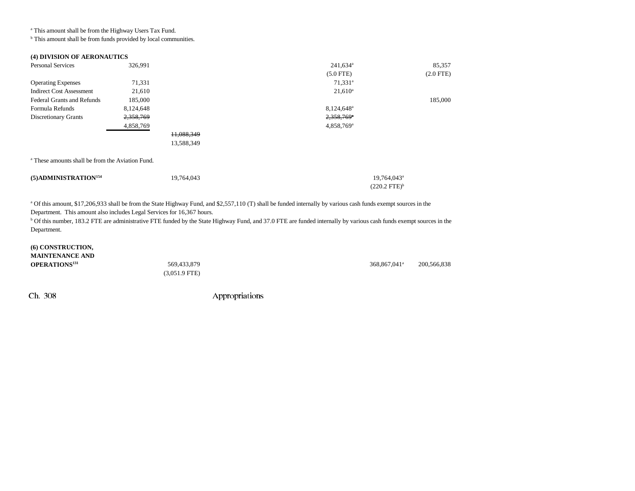a This amount shall be from the Highway Users Tax Fund.

 $<sup>b</sup>$  This amount shall be from funds provided by local communities.</sup>

| (4) DIVISION OF AERONAUTICS                                 |           |            |                                                    |             |
|-------------------------------------------------------------|-----------|------------|----------------------------------------------------|-------------|
| <b>Personal Services</b>                                    | 326,991   |            | $241,634$ <sup>a</sup>                             | 85,357      |
|                                                             |           |            | $(5.0$ FTE)                                        | $(2.0$ FTE) |
| <b>Operating Expenses</b>                                   | 71,331    |            | 71,331 <sup>a</sup>                                |             |
| <b>Indirect Cost Assessment</b>                             | 21,610    |            | $21,610^a$                                         |             |
| <b>Federal Grants and Refunds</b>                           | 185,000   |            |                                                    | 185,000     |
| Formula Refunds                                             | 8,124,648 |            | 8,124,648 <sup>a</sup>                             |             |
| <b>Discretionary Grants</b>                                 | 2,358,769 |            | $2,358,769^{\circ}$                                |             |
|                                                             | 4,858,769 |            | $4,858,769$ <sup>a</sup>                           |             |
|                                                             |           | 11,088,349 |                                                    |             |
|                                                             |           | 13,588,349 |                                                    |             |
| <sup>a</sup> These amounts shall be from the Aviation Fund. |           |            |                                                    |             |
| (5) ADMINISTRATION <sup>154</sup>                           |           | 19,764,043 | 19,764,043 <sup>a</sup><br>$(220.2 \text{ FTE})^b$ |             |
|                                                             |           |            |                                                    |             |

<sup>a</sup> Of this amount, \$17,206,933 shall be from the State Highway Fund, and \$2,557,110 (T) shall be funded internally by various cash funds exempt sources in the Department. This amount also includes Legal Services for 16,367 hours.

<sup>b</sup> Of this number, 183.2 FTE are administrative FTE funded by the State Highway Fund, and 37.0 FTE are funded internally by various cash funds exempt sources in the Department.

| (6) CONSTRUCTION,<br><b>MAINTENANCE AND</b> |                                        |                          |             |
|---------------------------------------------|----------------------------------------|--------------------------|-------------|
| <b>OPERATIONS</b> <sup>131</sup>            | 569,433,879<br>$(3.051.9 \text{ FTE})$ | 368,867,041 <sup>a</sup> | 200,566,838 |
|                                             |                                        |                          |             |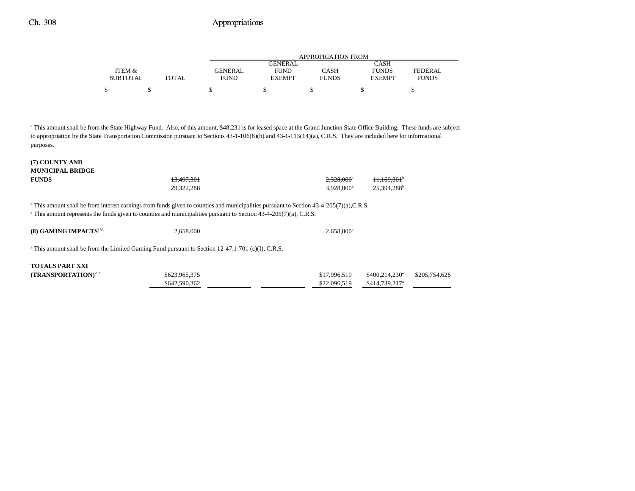|                 |              |                | APPROPRIATION FROM |              |               |              |  |  |
|-----------------|--------------|----------------|--------------------|--------------|---------------|--------------|--|--|
|                 |              |                | GENERAL.           |              | CASH          |              |  |  |
| ITEM &          |              | <b>GENERAL</b> | <b>FUND</b>        | CASH         | <b>FUNDS</b>  | FEDERAL      |  |  |
| <b>SUBTOTAL</b> | <b>TOTAL</b> | FUND           | <b>EXEMPT</b>      | <b>FUNDS</b> | <b>EXEMPT</b> | <b>FUNDS</b> |  |  |
| ¢               |              |                |                    |              |               |              |  |  |
|                 |              |                |                    |              |               |              |  |  |

a This amount shall be from the State Highway Fund. Also, of this amount, \$48,231 is for leased space at the Grand Junction State Office Building. These funds are subject to appropriation by the State Transportation Commission pursuant to Sections 43-1-106(8)(h) and 43-1-113(14)(a), C.R.S. They are included here for informational purposes.

#### **(7) COUNTY AND MUNICIPAL BRIDGE**

| <b>FUNDS</b> | 13.497.301 | $2.328.000^{\circ}$ | +1.169.301 <sup>b</sup> |
|--------------|------------|---------------------|-------------------------|
|              | 29,322,288 | $3.928.000^a$       | 25,394,288 <sup>b</sup> |

<sup>a</sup> This amount shall be from interest earnings from funds given to counties and municipalities pursuant to Section 43-4-205(7)(a),C.R.S.

<sup>a</sup> This amount represents the funds given to counties and municipalities pursuant to Section 43-4-205(7)(a), C.R.S.

| (8) GAMING IMPACTS <sup>155</sup> | 2.658,000 | $2,658,000^{\rm a}$ |
|-----------------------------------|-----------|---------------------|
|                                   |           |                     |

<sup>a</sup> This amount shall be from the Limited Gaming Fund pursuant to Section 12-47.1-701 (c)(I), C.R.S.

### **TOTALS PART XXI**

| $(TRANSPORTATION)^{2,3}$ | <del>\$623,965,375</del> | \$17.996.519 | <del>\$400,214,230</del> \$205,754,626 |  |
|--------------------------|--------------------------|--------------|----------------------------------------|--|
|                          | \$642,590,362            | \$22,096,519 | \$414,739,217 <sup>a</sup>             |  |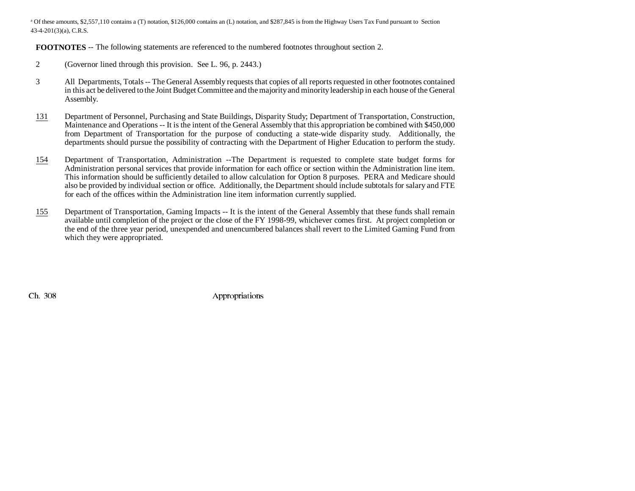<sup>a</sup> Of these amounts, \$2,557,110 contains a (T) notation, \$126,000 contains an (L) notation, and \$287,845 is from the Highway Users Tax Fund pursuant to Section 43-4-201(3)(a), C.R.S.

**FOOTNOTES** -- The following statements are referenced to the numbered footnotes throughout section 2.

- 2 (Governor lined through this provision. See L. 96, p. 2443.)
- 3 All Departments, Totals -- The General Assembly requests that copies of all reports requested in other footnotes contained in this act be delivered to the Joint Budget Committee and the majority and minority leadership in each house of the General Assembly.
- 131 Department of Personnel, Purchasing and State Buildings, Disparity Study; Department of Transportation, Construction, Maintenance and Operations -- It is the intent of the General Assembly that this appropriation be combined with \$450,000 from Department of Transportation for the purpose of conducting a state-wide disparity study. Additionally, the departments should pursue the possibility of contracting with the Department of Higher Education to perform the study.
- 154 Department of Transportation, Administration --The Department is requested to complete state budget forms for Administration personal services that provide information for each office or section within the Administration line item. This information should be sufficiently detailed to allow calculation for Option 8 purposes. PERA and Medicare should also be provided by individual section or office. Additionally, the Department should include subtotals for salary and FTE for each of the offices within the Administration line item information currently supplied.
- 155 Department of Transportation, Gaming Impacts -- It is the intent of the General Assembly that these funds shall remain available until completion of the project or the close of the FY 1998-99, whichever comes first. At project completion or the end of the three year period, unexpended and unencumbered balances shall revert to the Limited Gaming Fund from which they were appropriated.